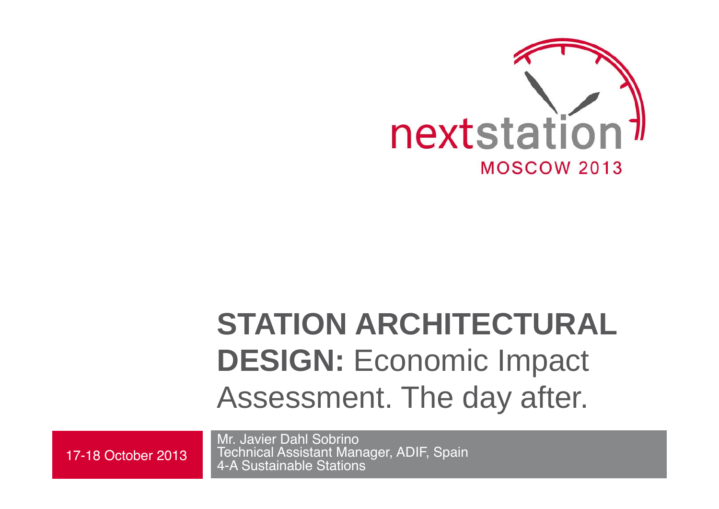

# **STATION ARCHITECTURAL DESIGN:** Economic Impact Assessment. The day after.

Mr. Javier Dahl Sobrino Technical Assistant Manager, ADIF, Spain 17-18 October 2013 | Iechnical Assistant Mana<br>4-A Sustainable Stations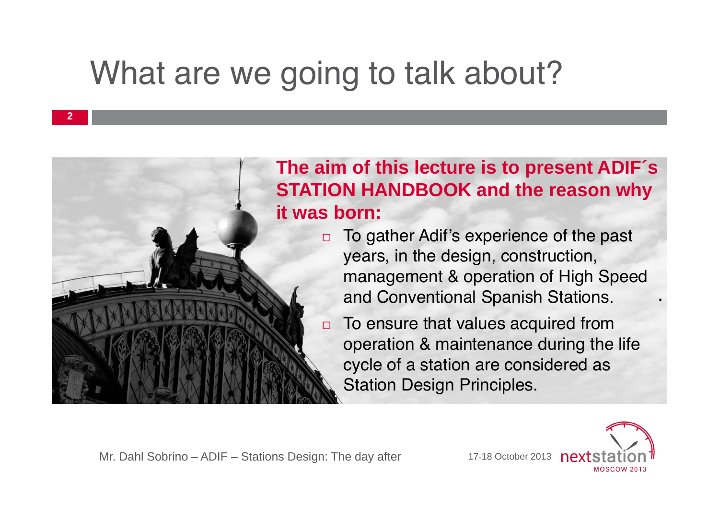# What are we going to talk about?



#### **The aim of this lecture is to present ADIF´s STATION HANDBOOK and the reason why it was born:**

- □ To gather Adif's experience of the past years, in the design, construction, management & operation of High Speed and Conventional Spanish Stations.
	- □ To ensure that values acquired from operation & maintenance during the life cycle of a station are considered as Station Design Principles.



.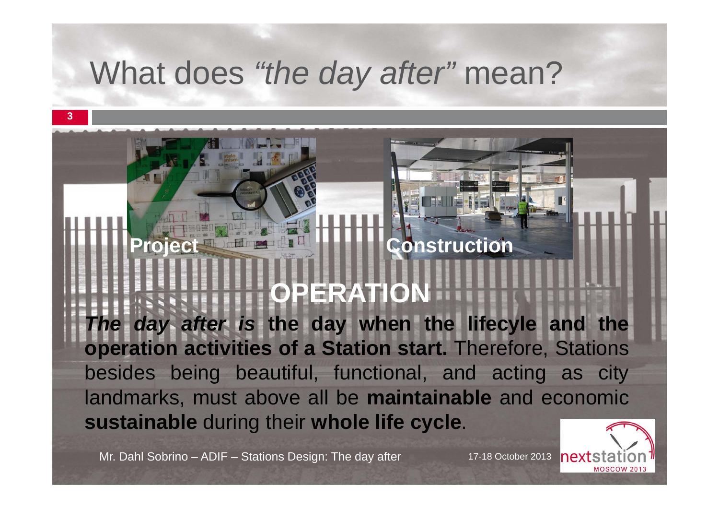## What does *"the day after"* mean?

# **Project <b>Construction**

**OPERATION**

*The day after is* **the day when the lifecyle and the operation activities of <sup>a</sup> Station start.** Therefore, Stations besides being beautiful, functional, and acting as city landmarks, must above all be **maintainable** and economic **sustainable** during their **whole life cycle**.

Mr. Dahl Sobrino – ADIF – Stations Design: The day after 17-18 October 2013

**3**



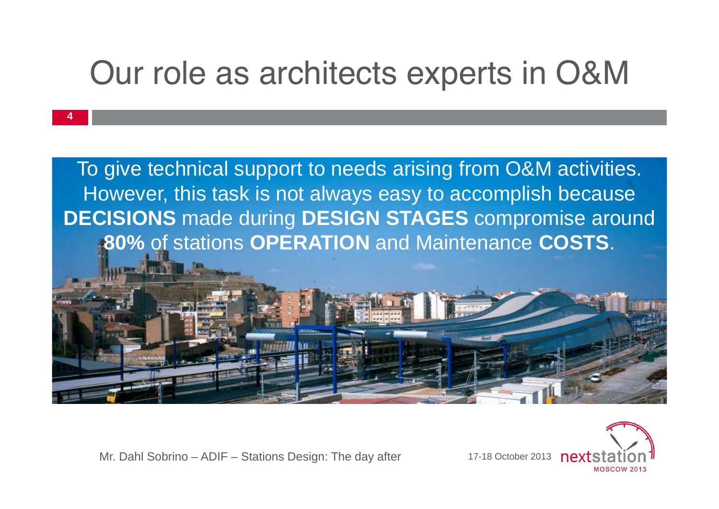# Our role as architects experts in O&M



Mr. Dahl Sobrino – ADIF – Stations Design: The day after

**4**

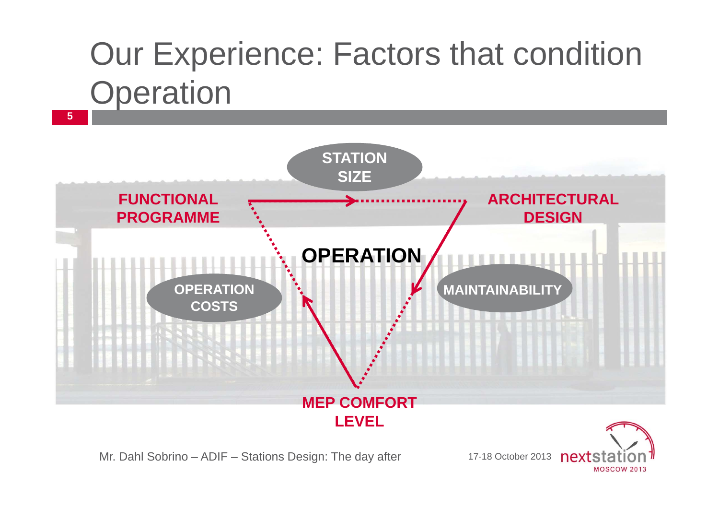# Our Experience: Factors that condition **Operation**



Mr. Dahl Sobrino – ADIF – Stations Design: The day after

17-18 October 2013 **MOSCOW 2013**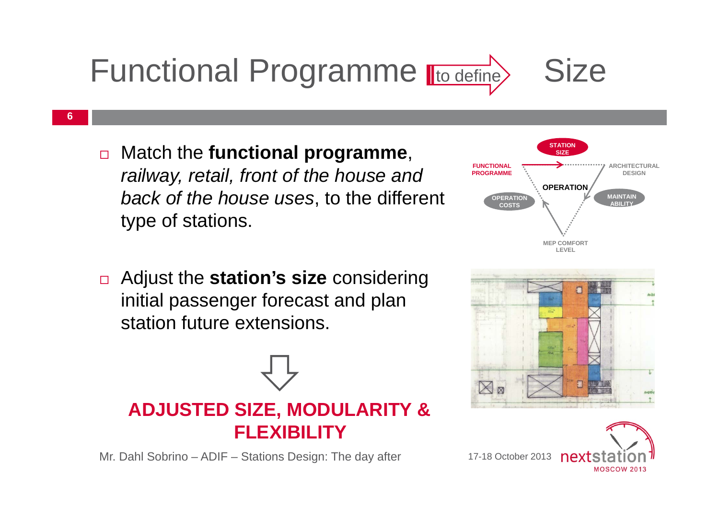



**6**

 $\Box$  Adjust the **station's size** considering initial passenger forecast and plan station future extensions.

### **ADJUSTED SIZE, MODULARITY & FLEXIBILITY**

Mr. Dahl Sobrino – ADIF – Stations Design: The day after 17-18 October 2013 **nex** 





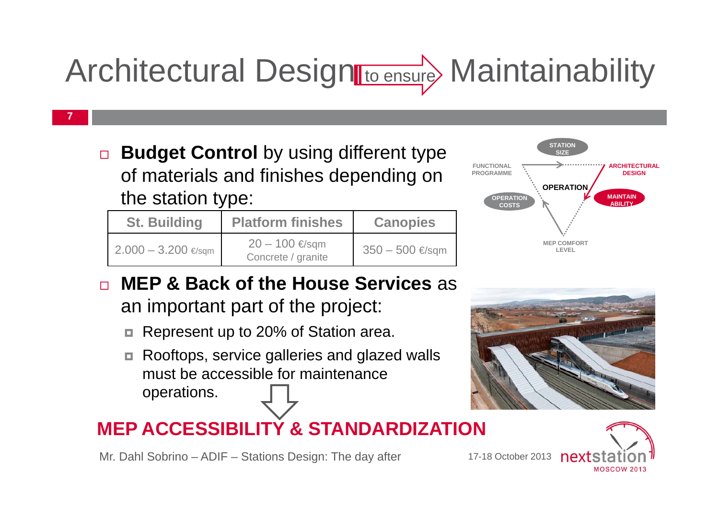# Architectural Design to ensure Maintainability

 $\Box$  **Budget Control** by using different type of materials and finishes depending on the station type:

**7**

| <b>St. Building</b>             | <b>Platform finishes</b>                  | <b>Canopies</b> | <b>MEP COMFORT</b><br>LEVEL |
|---------------------------------|-------------------------------------------|-----------------|-----------------------------|
| $2.000 - 3.200$ $\epsilon$ /sqm | $20 − 100 \in$ /sqm<br>Concrete / granite | 350 – 500 €/sqm |                             |



- □ **MEP & Back of the House Services** as an important part of the project:
	- $\Box$ Represent up to 20% of Station area.
	- ◘ Rooftops, service galleries and glazed walls must be accessible for maintenance operations.

### **MEP ACCESSIBILITY & STANDARDIZATION**

Mr. Dahl Sobrino – ADIF – Stations Design: The day after



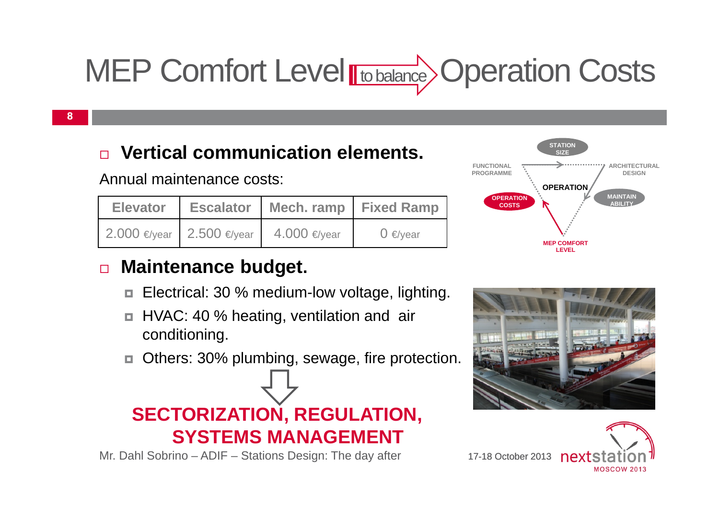# MEP Comfort Level **Hto balance** Operation Costs

#### **8**

#### □ **Vertical communication elements.**

Annual maintenance costs:

|  | Elevator   Escalator   Mech. ramp   Fixed Ramp |              |
|--|------------------------------------------------|--------------|
|  | 2.000 €/year 2.500 €/year 4.000 €/year         | $0 \in$ vear |

#### $\Box$ **Maintenance budget.**

- Electrical: 30 % medium-low voltage, lighting.
- HVAC: 40 % heating, ventilation and air conditioning.
- $\Box$ Others: 30% plumbing, sewage, fire protection.



Mr. Dahl Sobrino – ADIF – Stations Design: The day after





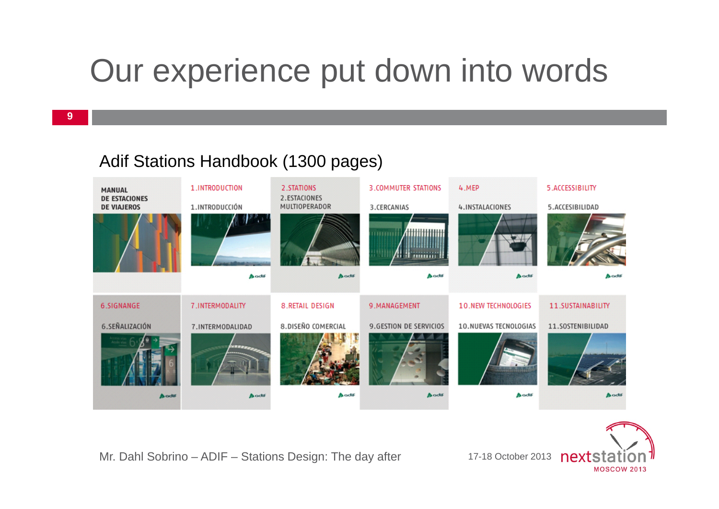# Our experience put down into words

#### Adif Stations Handbook (1300 pages)





Mr. Dahl Sobrino – ADIF – Stations Design: The day after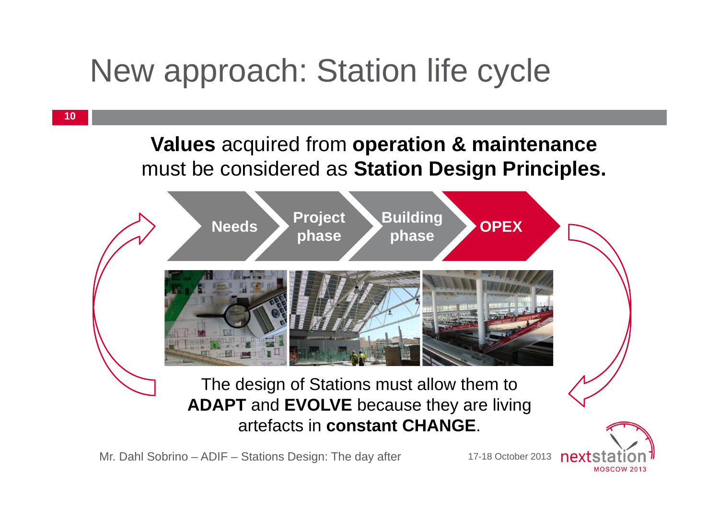# New approach: Station life cycle



Mr. Dahl Sobrino – ADIF – Stations Design: The day after

17-18 October 2013

**MOSCOW 2013**